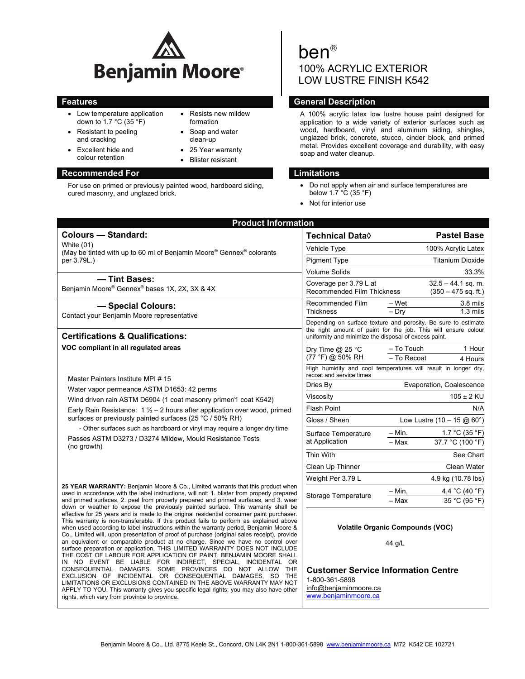

• Resists new mildew formation • Soap and water clean-up 25 Year warranty Blister resistant

- Low temperature application down to 1.7 °C (35 °F)
- Resistant to peeling and cracking
- Excellent hide and colour retention

## **Recommended For Limitations Accommended For Limitations**

For use on primed or previously painted wood, hardboard siding, cured masonry, and unglazed brick.

# ben 100% ACRYLIC EXTERIOR LOW LUSTRE FINISH K542

# **Features** General Description **CENET CONSUMER**

A 100% acrylic latex low lustre house paint designed for application to a wide variety of exterior surfaces such as wood, hardboard, vinyl and aluminum siding, shingles, unglazed brick, concrete, stucco, cinder block, and primed metal. Provides excellent coverage and durability, with easy soap and water cleanup.

- Do not apply when air and surface temperatures are below 1.7 °C (35 °F)
- Not for interior use

| <b>Product Information</b>                                                                                                                                                                                                                                                                                                                                                                                                                                                                                                                                                                                                                                                                                                                                                                                                                                                                                                                                                                                          |                                                                                                                                                                                           |                                                                |  |
|---------------------------------------------------------------------------------------------------------------------------------------------------------------------------------------------------------------------------------------------------------------------------------------------------------------------------------------------------------------------------------------------------------------------------------------------------------------------------------------------------------------------------------------------------------------------------------------------------------------------------------------------------------------------------------------------------------------------------------------------------------------------------------------------------------------------------------------------------------------------------------------------------------------------------------------------------------------------------------------------------------------------|-------------------------------------------------------------------------------------------------------------------------------------------------------------------------------------------|----------------------------------------------------------------|--|
| <b>Colours - Standard:</b>                                                                                                                                                                                                                                                                                                                                                                                                                                                                                                                                                                                                                                                                                                                                                                                                                                                                                                                                                                                          | Technical Data $\Diamond$                                                                                                                                                                 | <b>Pastel Base</b>                                             |  |
| White (01)<br>(May be tinted with up to 60 ml of Benjamin Moore® Gennex® colorants                                                                                                                                                                                                                                                                                                                                                                                                                                                                                                                                                                                                                                                                                                                                                                                                                                                                                                                                  | Vehicle Type                                                                                                                                                                              | 100% Acrylic Latex                                             |  |
| per 3.79L.)                                                                                                                                                                                                                                                                                                                                                                                                                                                                                                                                                                                                                                                                                                                                                                                                                                                                                                                                                                                                         | <b>Pigment Type</b>                                                                                                                                                                       | <b>Titanium Dioxide</b>                                        |  |
|                                                                                                                                                                                                                                                                                                                                                                                                                                                                                                                                                                                                                                                                                                                                                                                                                                                                                                                                                                                                                     | <b>Volume Solids</b>                                                                                                                                                                      | 33.3%                                                          |  |
| - Tint Bases:<br>Benjamin Moore® Gennex® bases 1X, 2X, 3X & 4X                                                                                                                                                                                                                                                                                                                                                                                                                                                                                                                                                                                                                                                                                                                                                                                                                                                                                                                                                      | Coverage per 3.79 L at<br><b>Recommended Film Thickness</b>                                                                                                                               | $32.5 - 44.1$ sq. m.<br>$(350 - 475$ sq. ft.)                  |  |
| - Special Colours:<br>Contact your Benjamin Moore representative                                                                                                                                                                                                                                                                                                                                                                                                                                                                                                                                                                                                                                                                                                                                                                                                                                                                                                                                                    | Recommended Film<br><b>Thickness</b>                                                                                                                                                      | 3.8 mils<br>– Wet<br>$1.3 \text{ miles}$<br>$-$ Dry            |  |
| <b>Certifications &amp; Qualifications:</b>                                                                                                                                                                                                                                                                                                                                                                                                                                                                                                                                                                                                                                                                                                                                                                                                                                                                                                                                                                         | Depending on surface texture and porosity. Be sure to estimate<br>the right amount of paint for the job. This will ensure colour<br>uniformity and minimize the disposal of excess paint. |                                                                |  |
| VOC compliant in all regulated areas                                                                                                                                                                                                                                                                                                                                                                                                                                                                                                                                                                                                                                                                                                                                                                                                                                                                                                                                                                                | Dry Time $@$ 25 °C<br>(77 °F) @ 50% RH                                                                                                                                                    | - To Touch<br>1 Hour<br>- To Recoat<br>4 Hours                 |  |
| Master Painters Institute MPI #15<br>Water vapor permeance ASTM D1653: 42 perms<br>Wind driven rain ASTM D6904 (1 coat masonry primer/1 coat K542)<br>Early Rain Resistance: $1\frac{1}{2} - 2$ hours after application over wood, primed<br>surfaces or previously painted surfaces (25 °C / 50% RH)<br>- Other surfaces such as hardboard or vinyl may require a longer dry time                                                                                                                                                                                                                                                                                                                                                                                                                                                                                                                                                                                                                                  | recoat and service times                                                                                                                                                                  | High humidity and cool temperatures will result in longer dry, |  |
|                                                                                                                                                                                                                                                                                                                                                                                                                                                                                                                                                                                                                                                                                                                                                                                                                                                                                                                                                                                                                     | Dries By                                                                                                                                                                                  | Evaporation, Coalescence                                       |  |
|                                                                                                                                                                                                                                                                                                                                                                                                                                                                                                                                                                                                                                                                                                                                                                                                                                                                                                                                                                                                                     | Viscosity<br>$105 \pm 2$ KU                                                                                                                                                               |                                                                |  |
|                                                                                                                                                                                                                                                                                                                                                                                                                                                                                                                                                                                                                                                                                                                                                                                                                                                                                                                                                                                                                     | <b>Flash Point</b><br>N/A                                                                                                                                                                 |                                                                |  |
|                                                                                                                                                                                                                                                                                                                                                                                                                                                                                                                                                                                                                                                                                                                                                                                                                                                                                                                                                                                                                     | Gloss / Sheen<br>Low Lustre $(10 - 15 \text{ @ } 60^{\circ})$                                                                                                                             |                                                                |  |
|                                                                                                                                                                                                                                                                                                                                                                                                                                                                                                                                                                                                                                                                                                                                                                                                                                                                                                                                                                                                                     | Surface Temperature                                                                                                                                                                       | – Min.<br>1.7 °C (35 °F)                                       |  |
| Passes ASTM D3273 / D3274 Mildew, Mould Resistance Tests<br>(no growth)                                                                                                                                                                                                                                                                                                                                                                                                                                                                                                                                                                                                                                                                                                                                                                                                                                                                                                                                             | at Application                                                                                                                                                                            | 37.7 °C (100 °F)<br>- Max                                      |  |
|                                                                                                                                                                                                                                                                                                                                                                                                                                                                                                                                                                                                                                                                                                                                                                                                                                                                                                                                                                                                                     | Thin With                                                                                                                                                                                 | See Chart                                                      |  |
|                                                                                                                                                                                                                                                                                                                                                                                                                                                                                                                                                                                                                                                                                                                                                                                                                                                                                                                                                                                                                     | Clean Up Thinner                                                                                                                                                                          | Clean Water                                                    |  |
|                                                                                                                                                                                                                                                                                                                                                                                                                                                                                                                                                                                                                                                                                                                                                                                                                                                                                                                                                                                                                     | Weight Per 3.79 L                                                                                                                                                                         | 4.9 kg (10.78 lbs)                                             |  |
| 25 YEAR WARRANTY: Benjamin Moore & Co., Limited warrants that this product when<br>used in accordance with the label instructions, will not: 1. blister from properly prepared                                                                                                                                                                                                                                                                                                                                                                                                                                                                                                                                                                                                                                                                                                                                                                                                                                      | <b>Storage Temperature</b>                                                                                                                                                                | - Min.<br>4.4 °C (40 °F)                                       |  |
| and primed surfaces, 2. peel from properly prepared and primed surfaces, and 3. wear<br>down or weather to expose the previously painted surface. This warranty shall be                                                                                                                                                                                                                                                                                                                                                                                                                                                                                                                                                                                                                                                                                                                                                                                                                                            |                                                                                                                                                                                           | 35 °C (95 °F)<br>- Max                                         |  |
| effective for 25 years and is made to the original residential consumer paint purchaser.<br>This warranty is non-transferable. If this product fails to perform as explained above<br>when used according to label instructions within the warranty period, Benjamin Moore &<br>Co., Limited will, upon presentation of proof of purchase (original sales receipt), provide<br>an equivalent or comparable product at no charge. Since we have no control over<br>surface preparation or application, THIS LIMITED WARRANTY DOES NOT INCLUDE<br>THE COST OF LABOUR FOR APPLICATION OF PAINT. BENJAMIN MOORE SHALL<br>IN NO EVENT BE LIABLE FOR INDIRECT, SPECIAL, INCIDENTAL OR<br>CONSEQUENTIAL DAMAGES. SOME PROVINCES DO NOT ALLOW THE<br>EXCLUSION OF INCIDENTAL OR CONSEQUENTIAL DAMAGES. SO THE<br>LIMITATIONS OR EXCLUSIONS CONTAINED IN THE ABOVE WARRANTY MAY NOT<br>APPLY TO YOU. This warranty gives you specific legal rights; you may also have other<br>rights, which vary from province to province. | <b>Volatile Organic Compounds (VOC)</b><br>44 g/L                                                                                                                                         |                                                                |  |
|                                                                                                                                                                                                                                                                                                                                                                                                                                                                                                                                                                                                                                                                                                                                                                                                                                                                                                                                                                                                                     | 1-800-361-5898<br>info@benjaminmoore.ca<br>www.benjaminmoore.ca                                                                                                                           | <b>Customer Service Information Centre</b>                     |  |